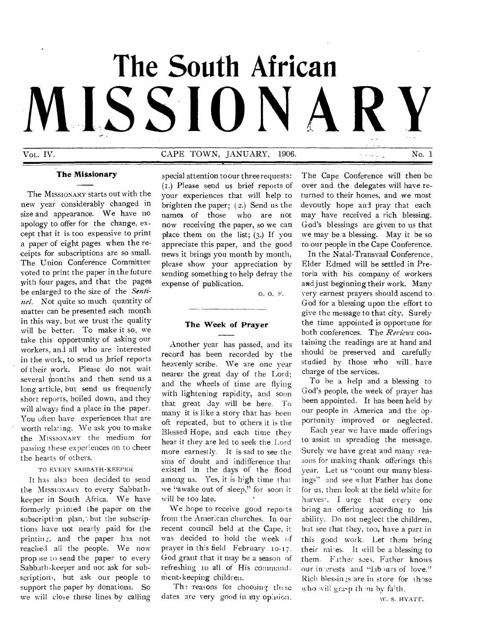# **The South African**  LISSIO

Vol. IV. No. 1 CAPE TOWN, JANUARY, 1906.

**The Missionary** 

The MISSIONARY starts out with the new year considerably changed in size and appearance. We have no apology to offer for the change, except that it is too expensive to print a paper of eight pages when the receipts for subscriptions are so small. The Union Conference Committee voted to print the paper in the future with four pages, and that the pages be enlarged to the size of the *Senti*nel. Not quite so much quantity of matter can be presented each month in this way, but we trust the quality will be better. To make it so, we take this opportunity of asking our workers, and all who are interested in the work, to send us ,brief reports of their work. Please do not wait several months and then send us a long article, but send us frequently short reports, boiled down, and they will always find a place in the paper. You often have experiences that are worth relating. We ask you to make the MISSIONARY the medium for passing these experiences on to cheer the hearts of others.

# TO EVERY SABBATH-KEEPER

It has also been decided to send the MISSIONARY to every Sabbathkeeper in South Africa. We have formerly printed the paper on the subscription plan, but the subscriptions have not nearly paid for the printing, and the paper has not reached all the people. We now prop )se to send the paper to every Sabbatli-keeper and not ask for subscription', but ask our people to support the paper by donations. So we will close these lines by calling special attention to our three requests: (I.) Please send us brief reports of your experiences that will help to brighten the paper; (2.) Send us the names of those who are not now receiving the paper, so we can place them on the list;  $(3)$ . If you appreciate this paper, and the good news it brings you month by month, please show your appreciation by sending something to help defray the expense of publication.

0. 0. F.

## **The Week of Prayer**

Another year has passed, and its record has been recorded by the heavenly scribe. We are one year nearer the great day of the Lord; and the wheels of time are flying with lightening rapidity, and soon that great day will be here. To many it is like a story that has been oft repeated, but to others it is the Blessed Hope, and each time they hear it they are led to seek the Lord more earnestly. It is sad to see the sins of doubt and indifference that existed in the days of the flood among us. Yes, it is high time that we "awake out of sleep," for soon it will be too late.

We hope to receive good reports from the Amer:can churches. In our recent council held at the Cape, it was decided to hold the week of prayer in this field February 10-17. God grant that it may be a season of refreshing to all of His commandtnent-keeping children.

The reasons for choosing these dates are very good in my opinion. The Cape conference will then be over and the delegates will have returned to their homes, and we most devoutly hope and pray that each may have received a rich blessing. God's blessings are given to us that we may be a blessing. May it be so to our people in the Cape Conference.

In the Natal-Transvaal Conference, Elder Edmed will be settled in Pretoria with his company of workers and just beginning their work. Many very earnest prayers should ascend to God for a blessing upon the effort to give the message to that city. Surely the time appointed is opportune for both conferences. The *Reviews* containing the readings are at hand and should be preserved and carefully studied by those who will. have charge of the services.

To be a help and a blessing to God's people, the week of prayer has been appointed. It has been held by our people in America and the opportunity improved or neglected.

Each year we have made offerings to assist in spreading the message. Surely we have great and many reasons for making thank offerings this year. Let us "count our many blessings" and see what Father has done for us, then look at the field white for harves<sup>-</sup>. I urge that every one bring an offering according to his ability. Do not neglect the children, but see that they, too, have a part in this good work. Let them bring their mi-es. It will be a blessing to them. Father sees, Father knows our in erests and "lab urs of love." Rich blessings are in store for those who will grasp them by faith.

\v. S. HYATT.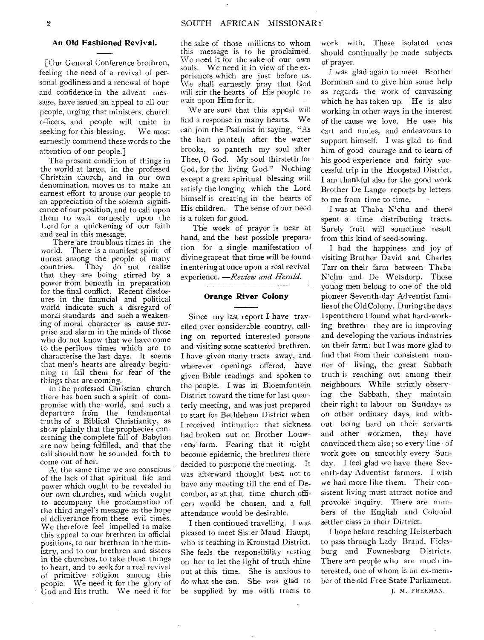# **An Old Fashioned Revival.**

[Our General Conference brethren, feeling the need of a revival of personal godliness and a renewal of hope and confidence in the advent message, have issued an appeal to all our people, urging that ministers, church officers, and people will unite in seeking for this blessing. We most earnestly commend these words to the attention of our people.]

The present condition of things in the world at large, in the professed Christain church, and in our own denomination, moves us to make an earnest effort to arouse our people to an appreciation of the solemn significance of our position, and to call upon them to wait earnestly upon the Lord for a quickening of **our** faith and zeal in this message.

There are troublous times in the world. There is a manifest spirit of unrest among the people of many countries. They do not realise that they are being stirred by a power from beneath in preparation for the final conflict. Recent disclosures in the financial and political world indicate such a disregard of moral standards and such a weakening of moral character as cause surprise and alarm in the minds of those who do not know that we have come to the perilous times which are to characterise the last days. It seems that men's hearts are already beginning to fail them for fear of the things that are coming.

In the professed Christian church there has been such a spirit of compromise with the world, and such a departure from the fundamental truths of a Biblical Christianity, as show plainly that the prophecies concerning the complete fall of Babylon are now being fulfilled, and that the call should now be sounded forth to come out of her.

At the same time we are conscious of the lack of that spiritual life and power which ought to be revealed in our own churches, and which ought to accompany the proclamation of the third angel's message as the hope of deliverance from these evil times. We therefore feel impelled to make this appeal to our brethren in official positions, to our brethren in the ministry, and to our brethren and sisters in the churches, to take these things to heart, and to seek for a real revival of primitive religion among this people. We need it for the glory of God and His truth. We need it for

the sake of those millions to whom this message is to be proclaimed. We need it for the sake of our own souls. We need it in view of the experiences which are just before us. We shall earnestly pray that God will stir the hearts of His people to wait upon **Him** for it.

We are sure that this appeal will find a response in many hearts. We can join the Psalmist in saying, "As the hart panteth after the water brooks, so panteth my soul after Thee, 0 God. My soul thirsteth for God, for the living God." Nothing except a great spiritual blessing will satisfy the longing which the Lord himself is creating in the hearts of His children. The sense of our need is a token **for good.** 

The week of prayer is near at hand, and the best possible preparation for a single manifestation of divine grace at that time **will** be found in entering at once upon a real revival experience. *—Review and Herald.* 

# **Orange River Colony**

Since my last report **I** have travelled over considerable country, calling on reported interested persons and visiting some scattered brethren. I have given many tracts away, and wherever openings offered, have given Bible readings and spoken to the people. I was in Bloemfontein District toward the time for last quarterly meeting, and was just prepared to start for Bethlehem District when **I** received intimation that sickness had broken out on Brother Louwrens' farm. Fearing that it might become epidemic, the brethren there decided to postpone the meeting. It was afterward thought best not to have any meeting till the end of December, as at that time church officers would be chosen, and a full attendance would be desirable.

I then continued travelling. **I** was pleased to meet Sister Maud Haupt, who is teaching in Kronstad District. She feels the responsibility resting on her to let the light of truth shine out at this time. She is anxious to do what she can. She was glad to be supplied by me with tracts to

work with. These isolated ones should continually be made subjects of prayer.

I was glad again to meet Brother Bornman and to give him some help as regards the work of canvassing which he has taken up. He is also working in other ways in the interest of the cause we love. He uses his cart and mules, and endeavours to support himself. I was glad to find him of good courage and to learn of his good experience and fairly successful trip in the Hoopstad District. I am thankful also for the good work Brother De Lange reports by letters to me from time to time.

**I** was at Thaba N'chu and there spent a time distributing tracts. Surely fruit will sometime result from this kind of seed-sowing.

**I** had the happiness and joy of visiting Brother David and Charles Tarr on their farm between Thaba N'chu and De Wetsdorp. These young men belong to one of the old pioneer Seventh-day Adventist families of the Old Colony. During the days I spent there **I** found what hard-working brethren they are in improving and developing the various industries on their farm; but **I** was more glad to find that from their consistent manner of living, the great Sabbath truth is reaching out among their neighbours. W hile strictly observing the Sabbath, they maintain their right to labour on Sundays as on other ordinary days, and without being hard on their servants and other workmen, they have convinced them also; so every line - of work goes on smoothly every Sunday. **I** feel glad we have these Seventh-day Adventist farmers. I wish we had more like them. Their consistent living must attract notice and provoke inquiry. There are numbers of the English and Colonial settler class in their District.

I hope before reaching Heisterbach to pass through Lady Brand, Ficksburg and Fownesburg Districts. There are people who are much interested, one of whom is an ex-member of the old Free State Parliament.

J. M. FREEMAN.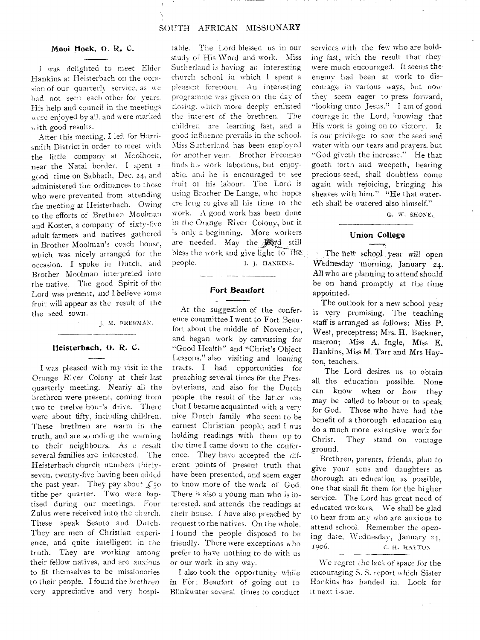### Moot Hoek, D. R. C.

I was delighted to meet Elder Hankins at Heisterbach on the occasion of our quarterh service, as we had not seen each other for years. His help and council in the meetings were enjoyed by all. and were marked with good results.

After this meeting, I left for Harrismith District in order to meet with the little company at Mooihoek, near the Natal border. I spent a good time on Sabbath. Dec. 24, and administered the ordinances to those who were prevented from attending the meeting at Heisterbach. Owing to the efforts of Brethren Moolman and Koster, a company of sixty-five adult farmers and natives gathered in Brother Moolman's coach house, which was nicely arranged for the occasion. I spoke in Dutch, and Brother Moolman interpreted into the native. The good Spirit of the Lord was present, and I believe some fruit will appear as the result of the the seed sown.

J. H. FREEMAN.

#### Heisterbach, 0. R. C.

I was pleased with my visit in the Orange River Colony at their last quarterly meeting. Nearly all the brethren were present, coming from two to twelve hour's drive. There were about fifty, including children. These brethren are warm in the truth, and are sounding the warning to their neighbours. As a result several families are interested. The Heisterbach church numbers thirtyseven, twenty-five having been added the past year. They pay about  $\sqrt[6]{50}$ tithe per quarter. Two were baptised during our meetings. Four Zulus were received into the church. These speak Sesuto and Dutch. They are men of Christian experience, and quite intelligent in the truth. They are working among their fellow natives, and are anxious to fit themselves to be missionaries to their people. I found the brethren very appreciative and very hospitable. The Lord blessed us in our study of His Word and work. Miss Sutherland is having an interesting church school in which I spent a pleasant forenoon. An interesting programme was given on the day of closing, which more deeply enlisted the interest of the brethren. The children are learning fast, and a good influence prevails in the school. Miss Sutherland has been employed for another year. Brother Freeman finds his work laborious, but enjoyable. and he is encouraged to see fruit of his labour. The Lord is using Brother De Lange, who hopes cre lcng to give all his time to the work. A good work has been done in the Orange River Colony, but it is only a beginning. More workers are needed. May the still bless the work and give light to the reflection The new school year will open people. I. J. HANKINS.

#### Fort Beaufort

a service sur-

At the suggestion of the conference committee I went to Fort Beaufort about the middle of November, and began work by canvassing for "Good Health" and "Christ's Object Lessons," also visiting and loaning tracts. I had opportunities for preaching several times for the Presbyterians, and also for the Dutch people; the result of the latter was that I became acquainted with a very nice Dutch family who seem to be earnest Christian people, and I was holding readings with them up to the time I came down to the conference. They have accepted the diferent points of present truth that have been presented, and seem eager to know more of the work of God. There is also a young man who is interested, and attends the readings at their house. I have also preached by request to the natives. On the whole, I found the people disposed to be friendly. There were exceptions who prefer to have nothing to do with us or our work in any way.

I also took the opportunity while in FOrt Beaufort of going out to Blinkwater several times to conduct services with the few who are holding fast, with the result that theywere much encouraged. It seems the. enemy had been at work to discourage in various ways, but now they seem eager to press forward, "looking unto Jesus." I am of good courage in the Lord, knowing that His work is going on to victory. It is our privilege to sow the seed and water with our tears and prayers. but "God giveth the increase." He that goeth forth and weepeth, bearing precious seed, shall doubtless come again with rejoicing, bringing his sheaves with him." "He that watereth shall be watered also himself."

G. W. SHONE.

# **Union College**

Wednesday morning, January 24. All who are planning to attend should be on hand promptly at the time appointed.

The outlook for a new school year is very promising. The teaching staff is arranged as follows: Miss P. West, preceptress; Mrs. H. Beckner, matron; Miss A. Ingle, Miss E. Hankins, Miss M. Tarr and Mrs Hay-. ton, teachers.

The Lord desires us to obtain all the education possible. None can know when or how they may be called to labour or to speak for God. Those who have had the benefit of a thorough education can do a much more extensive work for Christ. They stand on vantage ground.

Brethren, parents, friends, plan to give your sons and daughters as thorough an education as possible, one that shall fit them for the higher service. The Lord has great need of educated workers. We shall be glad to hear from any who are anxious to attend school. Remember the opening date, Wednesday, January 24, 1906. **C. H. HAYTON.** 

We regret the lack of space for the encouraging S. S. report which Sister Hankins has handed in. Look for it next i-sue.

 $\mathcal{L}^{\pm}$